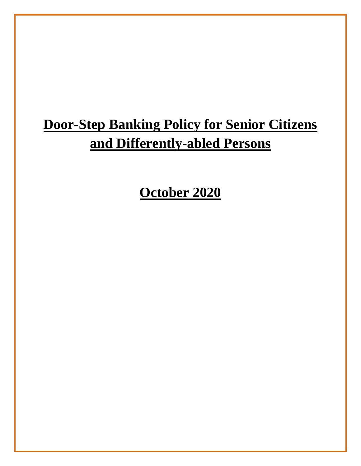# **Door-Step Banking Policy for Senior Citizens and Differently-abled Persons**

**October 2020**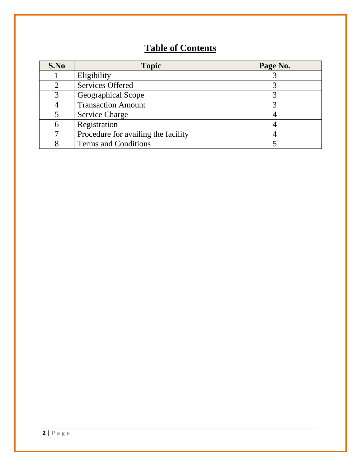# **Table of Contents**

| S.No | <b>Topic</b>                        | Page No. |
|------|-------------------------------------|----------|
|      | Eligibility                         |          |
| 2    | <b>Services Offered</b>             |          |
| 3    | Geographical Scope                  |          |
|      | <b>Transaction Amount</b>           |          |
|      | <b>Service Charge</b>               |          |
| 6    | Registration                        |          |
|      | Procedure for availing the facility |          |
|      | <b>Terms and Conditions</b>         |          |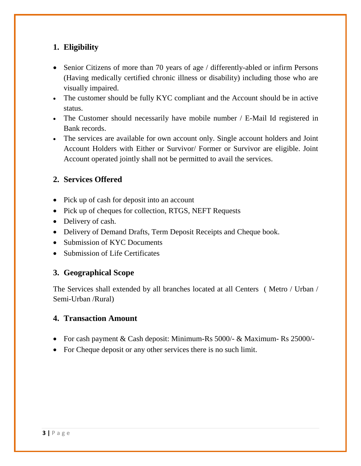# **1. Eligibility**

- Senior Citizens of more than 70 years of age / differently-abled or infirm Persons (Having medically certified chronic illness or disability) including those who are visually impaired.
- The customer should be fully KYC compliant and the Account should be in active status.
- The Customer should necessarily have mobile number / E-Mail Id registered in Bank records.
- The services are available for own account only. Single account holders and Joint Account Holders with Either or Survivor/ Former or Survivor are eligible. Joint Account operated jointly shall not be permitted to avail the services.

# **2. Services Offered**

- Pick up of cash for deposit into an account
- Pick up of cheques for collection, RTGS, NEFT Requests
- Delivery of cash.
- Delivery of Demand Drafts, Term Deposit Receipts and Cheque book.
- Submission of KYC Documents
- Submission of Life Certificates

# **3. Geographical Scope**

The Services shall extended by all branches located at all Centers ( Metro / Urban / Semi-Urban /Rural)

#### **4. Transaction Amount**

- For cash payment & Cash deposit: Minimum-Rs 5000/- & Maximum-Rs 25000/-
- For Cheque deposit or any other services there is no such limit.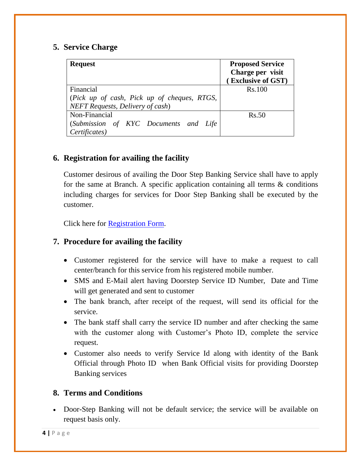#### **5. Service Charge**

| <b>Request</b>                              | <b>Proposed Service</b><br>Charge per visit<br>(Exclusive of GST) |
|---------------------------------------------|-------------------------------------------------------------------|
| Financial                                   | <b>Rs.100</b>                                                     |
| (Pick up of cash, Pick up of cheques, RTGS, |                                                                   |
| <b>NEFT Requests, Delivery of cash)</b>     |                                                                   |
| Non-Financial                               | Rs.50                                                             |
| (Submission of KYC Documents and Life       |                                                                   |
| Certificates)                               |                                                                   |

# **6. Registration for availing the facility**

Customer desirous of availing the Door Step Banking Service shall have to apply for the same at Branch. A specific application containing all terms & conditions including charges for services for Door Step Banking shall be executed by the customer.

Click here for [Registration Form.](https://www.idbibank.in/pdf/apply-now/Door-Step-Application-Form.pdf)

#### **7. Procedure for availing the facility**

- Customer registered for the service will have to make a request to call center/branch for this service from his registered mobile number.
- SMS and E-Mail alert having Doorstep Service ID Number, Date and Time will get generated and sent to customer
- The bank branch, after receipt of the request, will send its official for the service.
- The bank staff shall carry the service ID number and after checking the same with the customer along with Customer's Photo ID, complete the service request.
- Customer also needs to verify Service Id along with identity of the Bank Official through Photo ID when Bank Official visits for providing Doorstep Banking services

#### **8. Terms and Conditions**

 Door-Step Banking will not be default service; the service will be available on request basis only.